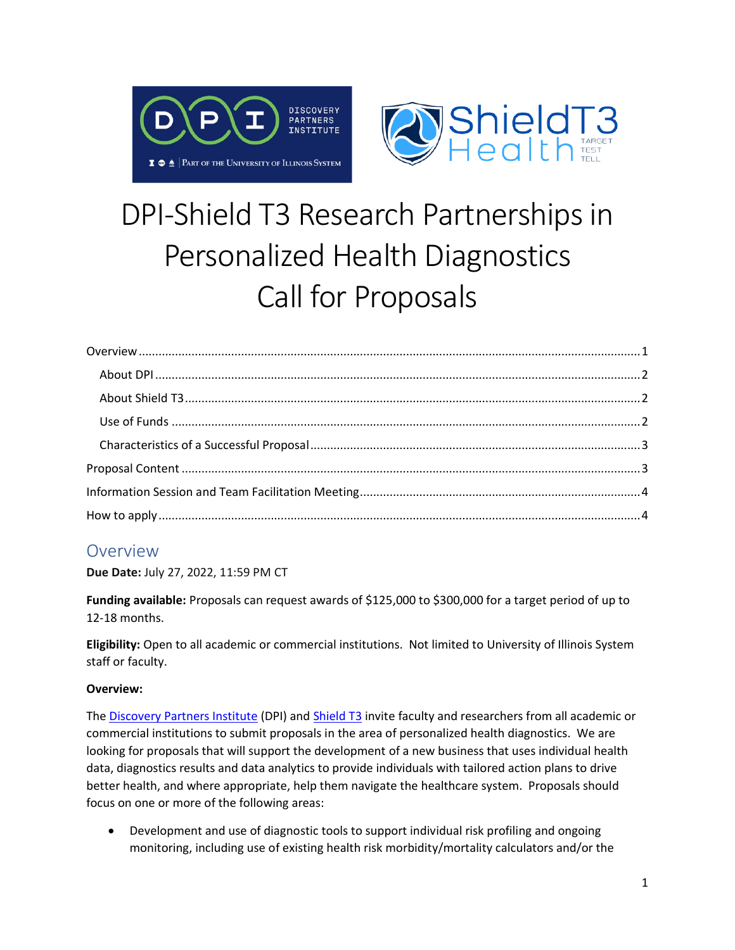



# DPI-Shield T3 Research Partnerships in Personalized Health Diagnostics Call for Proposals

### <span id="page-0-0"></span>**Overview**

**Due Date:** July 27, 2022, 11:59 PM CT

**Funding available:** Proposals can request awards of \$125,000 to \$300,000 for a target period of up to 12-18 months.

**Eligibility:** Open to all academic or commercial institutions. Not limited to University of Illinois System staff or faculty.

#### **Overview:**

The [Discovery Partners Institute](https://dpi.uillinois.edu/) (DPI) and [Shield T3](https://www.shieldt3.com/) invite faculty and researchers from all academic or commercial institutions to submit proposals in the area of personalized health diagnostics. We are looking for proposals that will support the development of a new business that uses individual health data, diagnostics results and data analytics to provide individuals with tailored action plans to drive better health, and where appropriate, help them navigate the healthcare system. Proposals should focus on one or more of the following areas:

• Development and use of diagnostic tools to support individual risk profiling and ongoing monitoring, including use of existing health risk morbidity/mortality calculators and/or the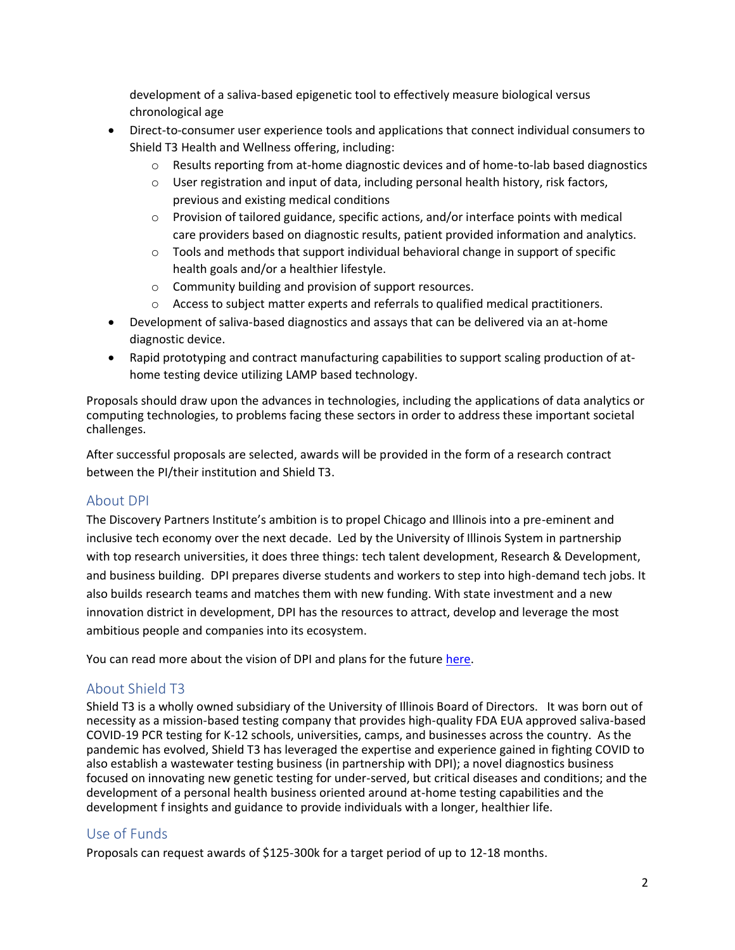development of a saliva-based epigenetic tool to effectively measure biological versus chronological age

- Direct-to-consumer user experience tools and applications that connect individual consumers to Shield T3 Health and Wellness offering, including:
	- o Results reporting from at-home diagnostic devices and of home-to-lab based diagnostics
	- $\circ$  User registration and input of data, including personal health history, risk factors, previous and existing medical conditions
	- o Provision of tailored guidance, specific actions, and/or interface points with medical care providers based on diagnostic results, patient provided information and analytics.
	- $\circ$  Tools and methods that support individual behavioral change in support of specific health goals and/or a healthier lifestyle.
	- o Community building and provision of support resources.
	- $\circ$  Access to subject matter experts and referrals to qualified medical practitioners.
- Development of saliva-based diagnostics and assays that can be delivered via an at-home diagnostic device.
- Rapid prototyping and contract manufacturing capabilities to support scaling production of athome testing device utilizing LAMP based technology.

Proposals should draw upon the advances in technologies, including the applications of data analytics or computing technologies, to problems facing these sectors in order to address these important societal challenges.

After successful proposals are selected, awards will be provided in the form of a research contract between the PI/their institution and Shield T3.

#### <span id="page-1-0"></span>About DPI

The Discovery Partners Institute's ambition is to propel Chicago and Illinois into a pre-eminent and inclusive tech economy over the next decade. Led by the University of Illinois System in partnership with top research universities, it does three things: tech talent development, Research & Development, and business building. DPI prepares diverse students and workers to step into high-demand tech jobs. It also builds research teams and matches them with new funding. With state investment and a new innovation district in development, DPI has the resources to attract, develop and leverage the most ambitious people and companies into its ecosystem.

You can read more about the vision of DPI and plans for the future [here.](https://dpi.uillinois.edu/dpi-vision/)

#### <span id="page-1-1"></span>About Shield T3

Shield T3 is a wholly owned subsidiary of the University of Illinois Board of Directors. It was born out of necessity as a mission-based testing company that provides high-quality FDA EUA approved saliva-based COVID-19 PCR testing for K-12 schools, universities, camps, and businesses across the country. As the pandemic has evolved, Shield T3 has leveraged the expertise and experience gained in fighting COVID to also establish a wastewater testing business (in partnership with DPI); a novel diagnostics business focused on innovating new genetic testing for under-served, but critical diseases and conditions; and the development of a personal health business oriented around at-home testing capabilities and the development f insights and guidance to provide individuals with a longer, healthier life.

#### <span id="page-1-2"></span>Use of Funds

Proposals can request awards of \$125-300k for a target period of up to 12-18 months.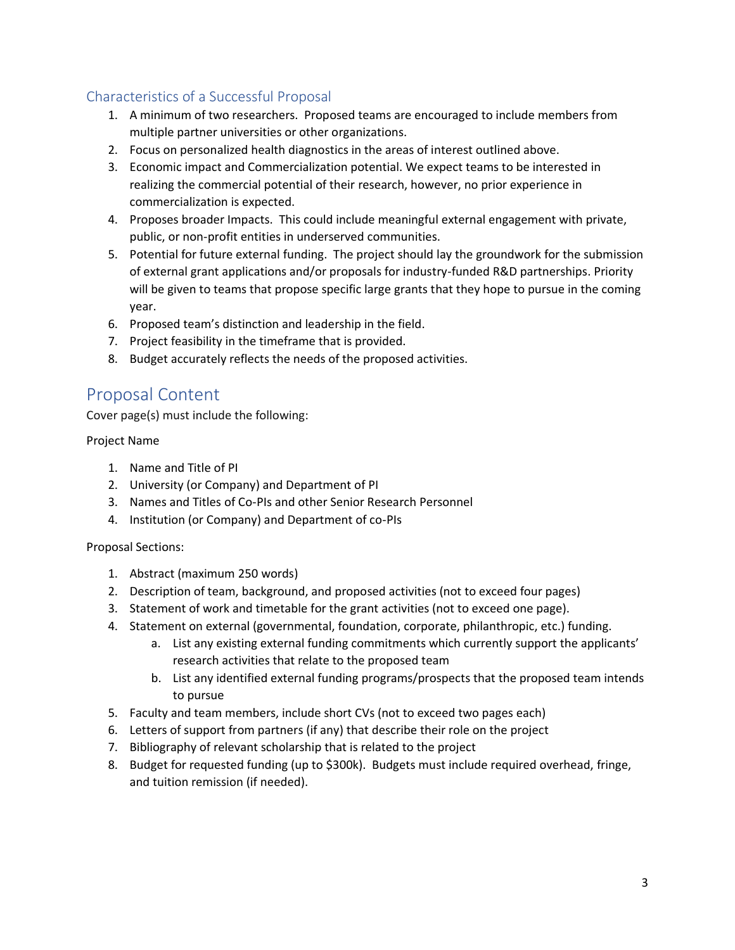#### <span id="page-2-0"></span>Characteristics of a Successful Proposal

- 1. A minimum of two researchers. Proposed teams are encouraged to include members from multiple partner universities or other organizations.
- 2. Focus on personalized health diagnostics in the areas of interest outlined above.
- 3. Economic impact and Commercialization potential. We expect teams to be interested in realizing the commercial potential of their research, however, no prior experience in commercialization is expected.
- 4. Proposes broader Impacts. This could include meaningful external engagement with private, public, or non-profit entities in underserved communities.
- 5. Potential for future external funding. The project should lay the groundwork for the submission of external grant applications and/or proposals for industry-funded R&D partnerships. Priority will be given to teams that propose specific large grants that they hope to pursue in the coming year.
- 6. Proposed team's distinction and leadership in the field.
- 7. Project feasibility in the timeframe that is provided.
- 8. Budget accurately reflects the needs of the proposed activities.

## <span id="page-2-1"></span>Proposal Content

Cover page(s) must include the following:

Project Name

- 1. Name and Title of PI
- 2. University (or Company) and Department of PI
- 3. Names and Titles of Co-PIs and other Senior Research Personnel
- 4. Institution (or Company) and Department of co-PIs

#### Proposal Sections:

- 1. Abstract (maximum 250 words)
- 2. Description of team, background, and proposed activities (not to exceed four pages)
- 3. Statement of work and timetable for the grant activities (not to exceed one page).
- 4. Statement on external (governmental, foundation, corporate, philanthropic, etc.) funding.
	- a. List any existing external funding commitments which currently support the applicants' research activities that relate to the proposed team
	- b. List any identified external funding programs/prospects that the proposed team intends to pursue
- 5. Faculty and team members, include short CVs (not to exceed two pages each)
- 6. Letters of support from partners (if any) that describe their role on the project
- 7. Bibliography of relevant scholarship that is related to the project
- 8. Budget for requested funding (up to \$300k). Budgets must include required overhead, fringe, and tuition remission (if needed).